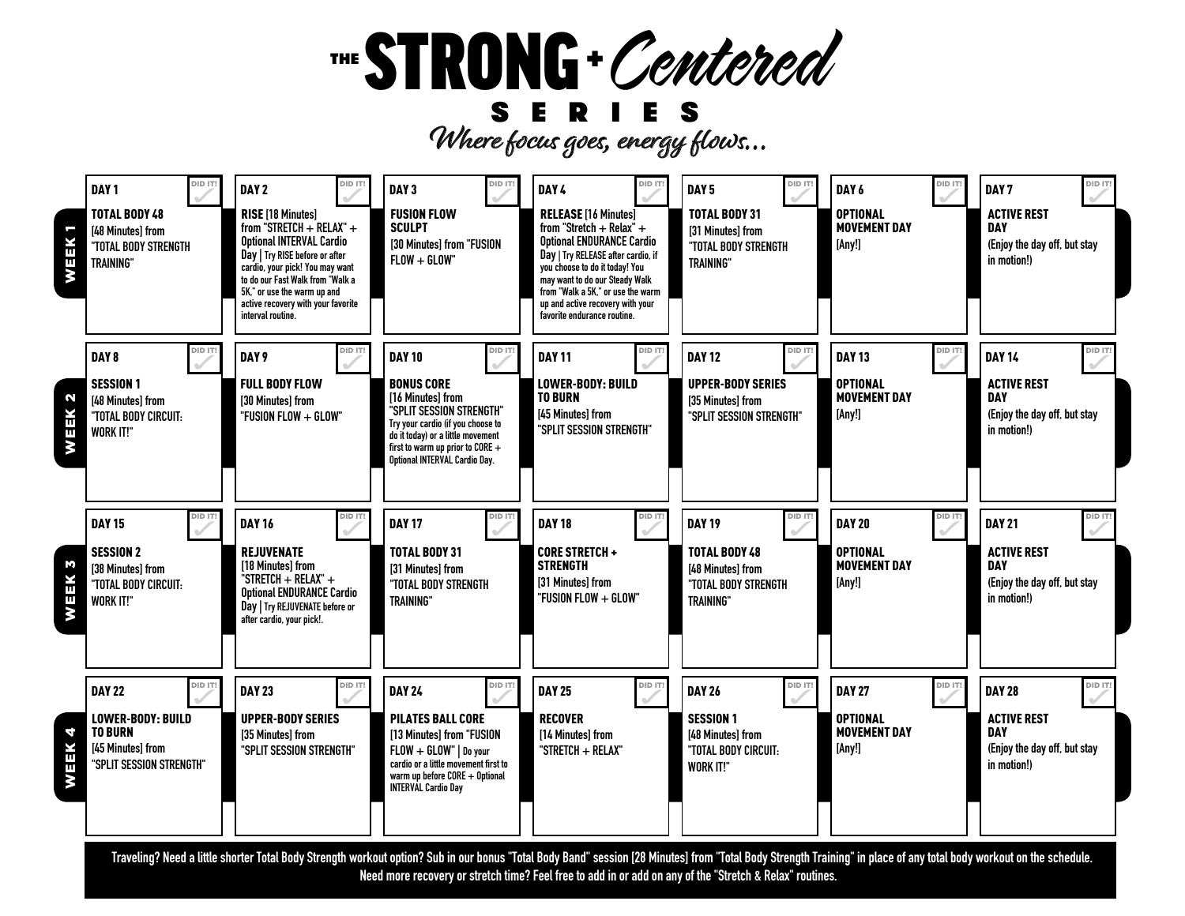## THE STRONG + Centered

Where focus goes, energy flows... **SERIES**



**Traveling? Need a little shorter Total Body Strength workout option? Sub in our bonus "Total Body Band" session [28 Minutes] from "Total Body Strength Training" in place of any total body workout on the schedule. Need more recovery or stretch time? Feel free to add in or add on any of the "Stretch & Relax" routines.**